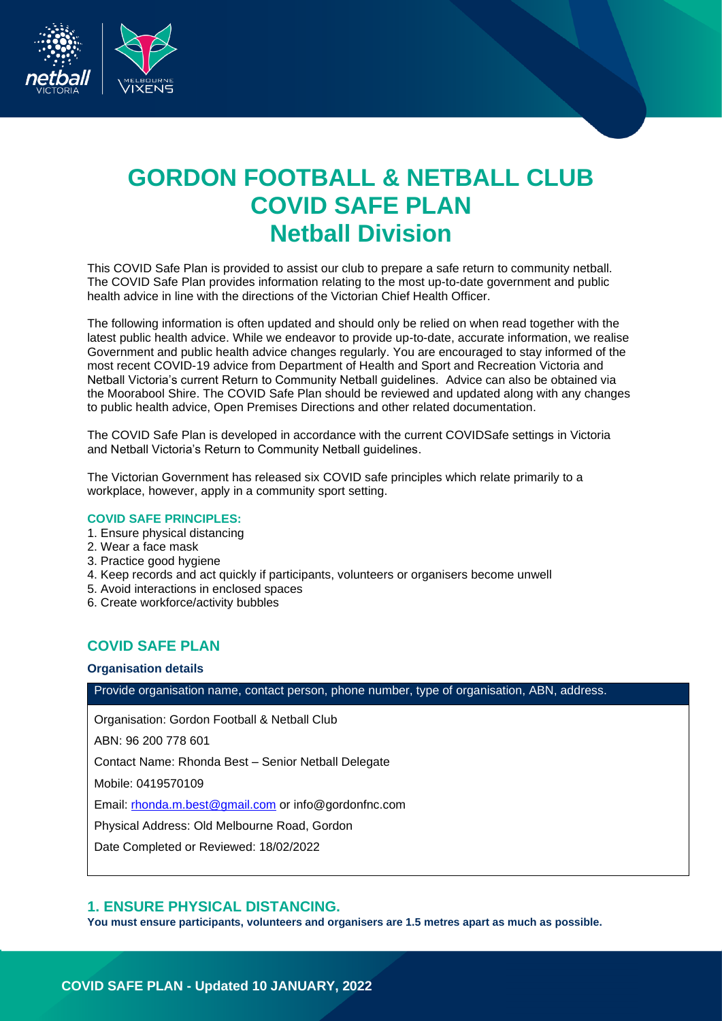

# **GORDON FOOTBALL & NETBALL CLUB COVID SAFE PLAN Netball Division**

This COVID Safe Plan is provided to assist our club to prepare a safe return to community netball. The COVID Safe Plan provides information relating to the most up-to-date government and public health advice in line with the directions of the Victorian Chief Health Officer.

The following information is often updated and should only be relied on when read together with the latest public health advice. While we endeavor to provide up-to-date, accurate information, we realise Government and public health advice changes regularly. You are encouraged to stay informed of the most recent COVID-19 advice from Department of Health and Sport and Recreation Victoria and Netball Victoria's current Return to Community Netball guidelines. Advice can also be obtained via the Moorabool Shire. The COVID Safe Plan should be reviewed and updated along with any changes to public health advice, Open Premises Directions and other related documentation.

The COVID Safe Plan is developed in accordance with the current COVIDSafe settings in Victoria and Netball Victoria's Return to Community Netball guidelines.

The Victorian Government has released six COVID safe principles which relate primarily to a workplace, however, apply in a community sport setting.

#### **COVID SAFE PRINCIPLES:**

- 1. Ensure physical distancing
- 2. Wear a face mask
- 3. Practice good hygiene
- 4. Keep records and act quickly if participants, volunteers or organisers become unwell
- 5. Avoid interactions in enclosed spaces
- 6. Create workforce/activity bubbles

## **COVID SAFE PLAN**

#### **Organisation details**

Provide organisation name, contact person, phone number, type of organisation, ABN, address.

Organisation: Gordon Football & Netball Club

ABN: 96 200 778 601

Contact Name: Rhonda Best – Senior Netball Delegate

Mobile: 0419570109

Email: [rhonda.m.best@gmail.com](mailto:rhonda.m.best@gmail.com) or info@gordonfnc.com

Physical Address: Old Melbourne Road, Gordon

Date Completed or Reviewed: 18/02/2022

## **1. ENSURE PHYSICAL DISTANCING.**

**You must ensure participants, volunteers and organisers are 1.5 metres apart as much as possible.**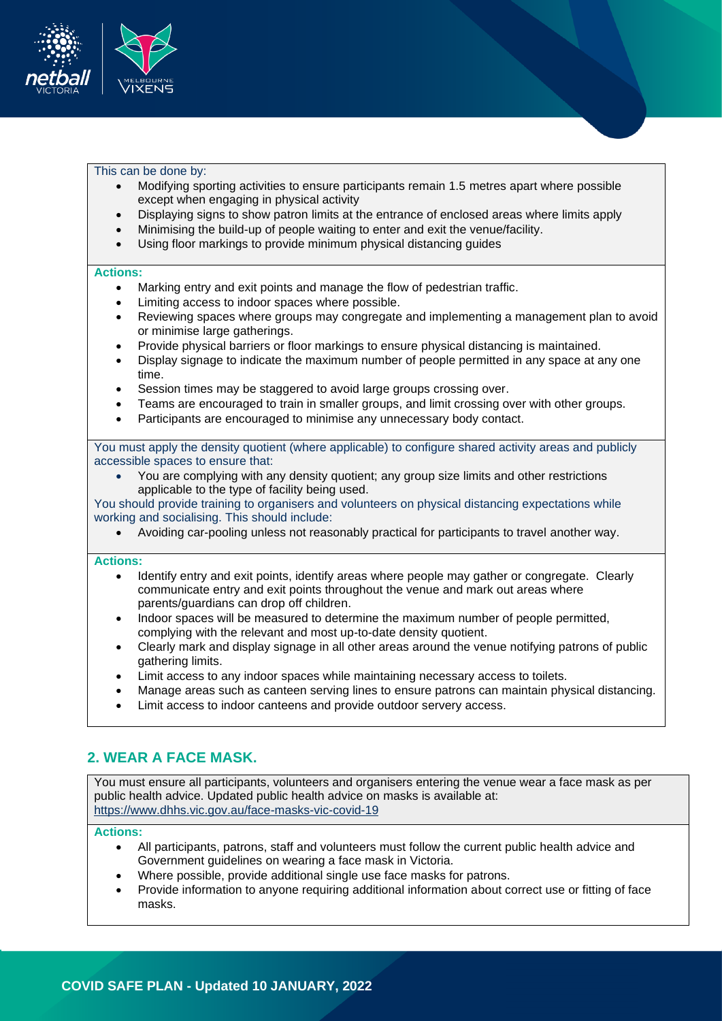

#### This can be done by:

- Modifying sporting activities to ensure participants remain 1.5 metres apart where possible except when engaging in physical activity
- Displaying signs to show patron limits at the entrance of enclosed areas where limits apply
- Minimising the build-up of people waiting to enter and exit the venue/facility.
- Using floor markings to provide minimum physical distancing guides

#### **Actions:**

- Marking entry and exit points and manage the flow of pedestrian traffic.
- Limiting access to indoor spaces where possible.
- Reviewing spaces where groups may congregate and implementing a management plan to avoid or minimise large gatherings.
- Provide physical barriers or floor markings to ensure physical distancing is maintained.
- Display signage to indicate the maximum number of people permitted in any space at any one time.
- Session times may be staggered to avoid large groups crossing over.
- Teams are encouraged to train in smaller groups, and limit crossing over with other groups.
- Participants are encouraged to minimise any unnecessary body contact.

You must apply the density quotient (where applicable) to configure shared activity areas and publicly accessible spaces to ensure that:

• You are complying with any density quotient; any group size limits and other restrictions applicable to the type of facility being used.

You should provide training to organisers and volunteers on physical distancing expectations while working and socialising. This should include:

• Avoiding car-pooling unless not reasonably practical for participants to travel another way.

#### **Actions:**

- Identify entry and exit points, identify areas where people may gather or congregate. Clearly communicate entry and exit points throughout the venue and mark out areas where parents/guardians can drop off children.
- Indoor spaces will be measured to determine the maximum number of people permitted, complying with the relevant and most up-to-date density quotient.
- Clearly mark and display signage in all other areas around the venue notifying patrons of public gathering limits.
- Limit access to any indoor spaces while maintaining necessary access to toilets.
- Manage areas such as canteen serving lines to ensure patrons can maintain physical distancing.
- Limit access to indoor canteens and provide outdoor servery access.

# **2. WEAR A FACE MASK.**

You must ensure all participants, volunteers and organisers entering the venue wear a face mask as per public health advice. Updated public health advice on masks is available at: <https://www.dhhs.vic.gov.au/face-masks-vic-covid-19>

#### **Actions:**

- All participants, patrons, staff and volunteers must follow the current public health advice and Government guidelines on wearing a face mask in Victoria.
- Where possible, provide additional single use face masks for patrons.
- Provide information to anyone requiring additional information about correct use or fitting of face masks.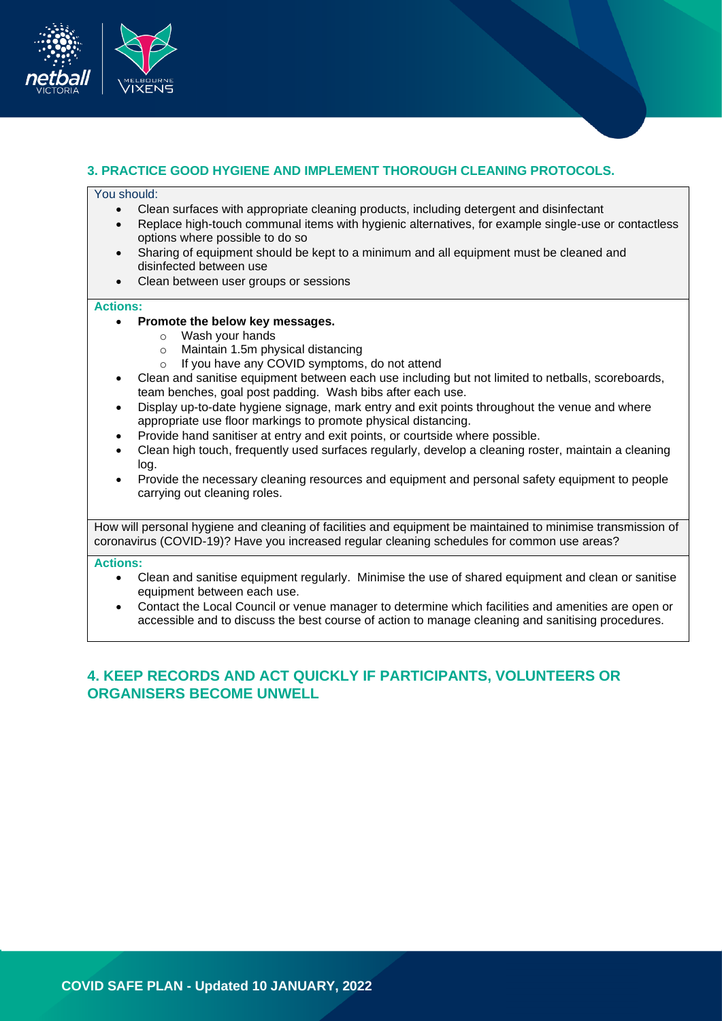

## **3. PRACTICE GOOD HYGIENE AND IMPLEMENT THOROUGH CLEANING PROTOCOLS.**

#### You should:

- Clean surfaces with appropriate cleaning products, including detergent and disinfectant
- Replace high-touch communal items with hygienic alternatives, for example single-use or contactless options where possible to do so
- Sharing of equipment should be kept to a minimum and all equipment must be cleaned and disinfected between use
- Clean between user groups or sessions

#### **Actions:**

- **Promote the below key messages.** 
	- o Wash your hands
	- o Maintain 1.5m physical distancing
	- o If you have any COVID symptoms, do not attend
- Clean and sanitise equipment between each use including but not limited to netballs, scoreboards, team benches, goal post padding. Wash bibs after each use.
- Display up-to-date hygiene signage, mark entry and exit points throughout the venue and where appropriate use floor markings to promote physical distancing.
- Provide hand sanitiser at entry and exit points, or courtside where possible.
- Clean high touch, frequently used surfaces regularly, develop a cleaning roster, maintain a cleaning log.
- Provide the necessary cleaning resources and equipment and personal safety equipment to people carrying out cleaning roles.

How will personal hygiene and cleaning of facilities and equipment be maintained to minimise transmission of coronavirus (COVID-19)? Have you increased regular cleaning schedules for common use areas?

#### **Actions:**

- Clean and sanitise equipment regularly. Minimise the use of shared equipment and clean or sanitise equipment between each use.
- Contact the Local Council or venue manager to determine which facilities and amenities are open or accessible and to discuss the best course of action to manage cleaning and sanitising procedures.

# **4. KEEP RECORDS AND ACT QUICKLY IF PARTICIPANTS, VOLUNTEERS OR ORGANISERS BECOME UNWELL**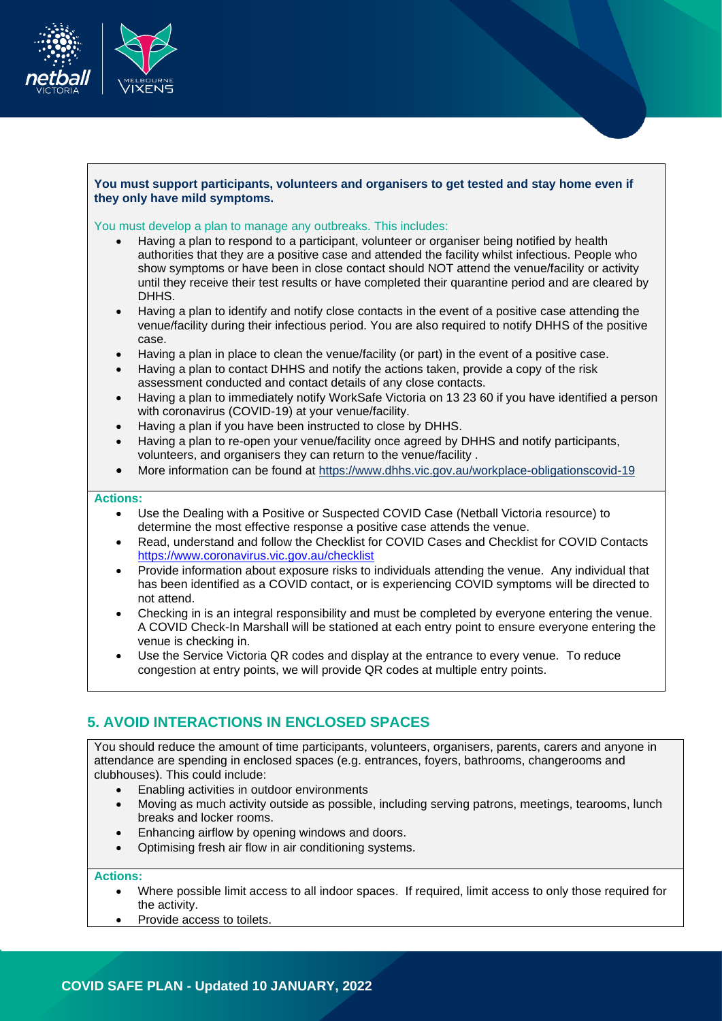

## **You must support participants, volunteers and organisers to get tested and stay home even if they only have mild symptoms.**

#### You must develop a plan to manage any outbreaks. This includes:

- Having a plan to respond to a participant, volunteer or organiser being notified by health authorities that they are a positive case and attended the facility whilst infectious. People who show symptoms or have been in close contact should NOT attend the venue/facility or activity until they receive their test results or have completed their quarantine period and are cleared by DHHS.
- Having a plan to identify and notify close contacts in the event of a positive case attending the venue/facility during their infectious period. You are also required to notify DHHS of the positive case.
- Having a plan in place to clean the venue/facility (or part) in the event of a positive case.
- Having a plan to contact DHHS and notify the actions taken, provide a copy of the risk assessment conducted and contact details of any close contacts.
- Having a plan to immediately notify WorkSafe Victoria on 13 23 60 if you have identified a person with coronavirus (COVID-19) at your venue/facility.
- Having a plan if you have been instructed to close by DHHS.
- Having a plan to re-open your venue/facility once agreed by DHHS and notify participants, volunteers, and organisers they can return to the venue/facility .
- More information can be found at<https://www.dhhs.vic.gov.au/workplace-obligationscovid-19>

## **Actions:**

- Use the Dealing with a Positive or Suspected COVID Case (Netball Victoria resource) to determine the most effective response a positive case attends the venue.
- Read, understand and follow the Checklist for COVID Cases and Checklist for COVID Contacts <https://www.coronavirus.vic.gov.au/checklist>
- Provide information about exposure risks to individuals attending the venue. Any individual that has been identified as a COVID contact, or is experiencing COVID symptoms will be directed to not attend.
- Checking in is an integral responsibility and must be completed by everyone entering the venue. A COVID Check-In Marshall will be stationed at each entry point to ensure everyone entering the venue is checking in.
- Use the Service Victoria QR codes and display at the entrance to every venue. To reduce congestion at entry points, we will provide QR codes at multiple entry points.

# **5. AVOID INTERACTIONS IN ENCLOSED SPACES**

You should reduce the amount of time participants, volunteers, organisers, parents, carers and anyone in attendance are spending in enclosed spaces (e.g. entrances, foyers, bathrooms, changerooms and clubhouses). This could include:

- Enabling activities in outdoor environments
- Moving as much activity outside as possible, including serving patrons, meetings, tearooms, lunch breaks and locker rooms.
- Enhancing airflow by opening windows and doors.
- Optimising fresh air flow in air conditioning systems.

#### **Actions:**

- Where possible limit access to all indoor spaces. If required, limit access to only those required for the activity.
- Provide access to toilets.